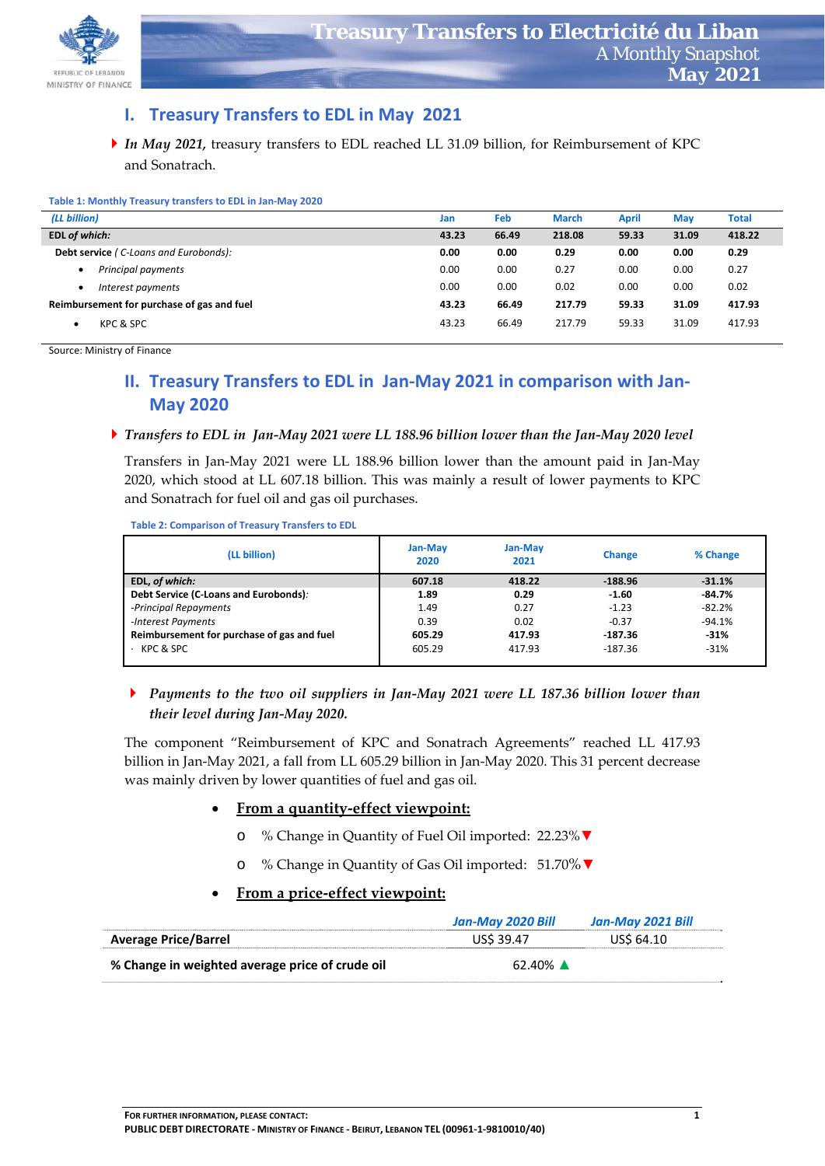

## **I. Treasury Transfers to EDL in May 2021**

*In May 2021,* treasury transfers to EDL reached LL 31.09 billion, for Reimbursement of KPC and Sonatrach.

| Table 1: Monthly Treasury transfers to EDL in Jan-May 2020 |
|------------------------------------------------------------|
|------------------------------------------------------------|

| (LL billion)                                 | Jan   | Feb   | <b>March</b> | April | <b>May</b> | <b>Total</b> |
|----------------------------------------------|-------|-------|--------------|-------|------------|--------------|
| EDL of which:                                | 43.23 | 66.49 | 218.08       | 59.33 | 31.09      | 418.22       |
| <b>Debt service (C-Loans and Eurobonds):</b> | 0.00  | 0.00  | 0.29         | 0.00  | 0.00       | 0.29         |
| Principal payments                           | 0.00  | 0.00  | 0.27         | 0.00  | 0.00       | 0.27         |
| Interest payments                            | 0.00  | 0.00  | 0.02         | 0.00  | 0.00       | 0.02         |
| Reimbursement for purchase of gas and fuel   | 43.23 | 66.49 | 217.79       | 59.33 | 31.09      | 417.93       |
| KPC & SPC                                    | 43.23 | 66.49 | 217.79       | 59.33 | 31.09      | 417.93       |

Source: Ministry of Finance

# **II. Treasury Transfers to EDL in Jan‐May 2021 in comparison with Jan‐ May 2020**

#### Transfers to EDL in Jan-May 2021 were LL 188.96 billion lower than the Jan-May 2020 level

Transfers in Jan‐May 2021 were LL 188.96 billion lower than the amount paid in Jan‐May 2020, which stood at LL 607.18 billion. This was mainly a result of lower payments to KPC and Sonatrach for fuel oil and gas oil purchases.

**Table 2: Comparison of Treasury Transfers to EDL** 

| (LL billion)                               | Jan-May<br>2020 | <b>Jan-May</b><br>2021 | Change    | % Change |
|--------------------------------------------|-----------------|------------------------|-----------|----------|
| EDL, of which:                             | 607.18          | 418.22                 | $-188.96$ | $-31.1%$ |
| Debt Service (C-Loans and Eurobonds):      | 1.89            | 0.29                   | $-1.60$   | $-84.7%$ |
| -Principal Repayments                      | 1.49            | 0.27                   | $-1.23$   | $-82.2%$ |
| -Interest Payments                         | 0.39            | 0.02                   | $-0.37$   | $-94.1%$ |
| Reimbursement for purchase of gas and fuel | 605.29          | 417.93                 | $-187.36$ | $-31%$   |
| $\cdot$ KPC & SPC                          | 605.29          | 417.93                 | -187.36   | $-31%$   |

 *Payments to the two oil suppliers in Jan‐May 2021 were LL 187.36 billion lower than their level during Jan‐May 2020.*

The component "Reimbursement of KPC and Sonatrach Agreements" reached LL 417.93 billion in Jan‐May 2021, a fall from LL 605.29 billion in Jan‐May 2020. This 31 percent decrease was mainly driven by lower quantities of fuel and gas oil.

#### **From a quantity‐effect viewpoint:**

- o % Change in Quantity of Fuel Oil imported: 22.23%▼
- o % Change in Quantity of Gas Oil imported: 51.70%▼

#### **From a price‐effect viewpoint:**

|                                                 | Jan-Mav 2020 Bill     | Jan-May 2021 Bill |
|-------------------------------------------------|-----------------------|-------------------|
| <b>Average Price/Barrel</b>                     | US\$ 39.47            | US\$ 64.10        |
| % Change in weighted average price of crude oil | $62.40\%$ $\triangle$ |                   |